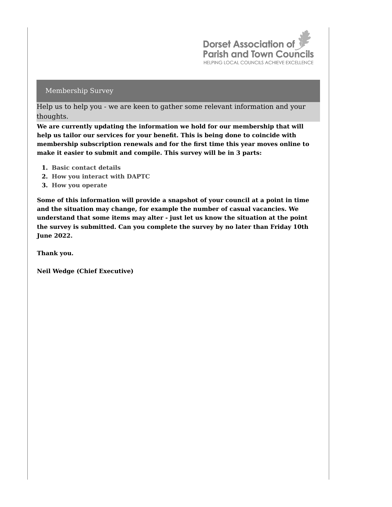

Help us to help you - we are keen to gather some relevant information and your thoughts.

**We are currently updating the information we hold for our membership that will help us tailor our services for your benefit. This is being done to coincide with membership subscription renewals and for the first time this year moves online to make it easier to submit and compile. This survey will be in 3 parts:**

- **1. Basic contact details**
- **2. How you interact with DAPTC**
- **3. How you operate**

**Some of this information will provide a snapshot of your council at a point in time and the situation may change, for example the number of casual vacancies. We understand that some items may alter - just let us know the situation at the point the survey is submitted. Can you complete the survey by no later than Friday 10th June 2022.**

**Thank you.**

**Neil Wedge (Chief Executive)**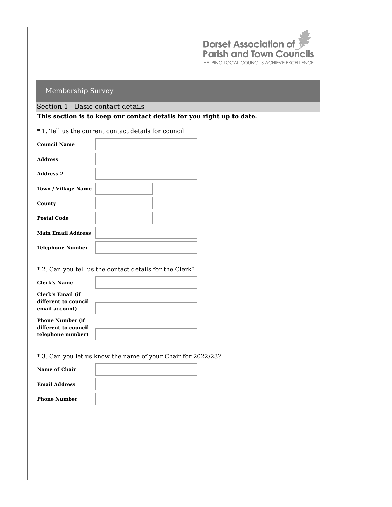

## Section 1 - Basic contact details

**This section is to keep our contact details for you right up to date.**

\* 1. Tell us the current contact details for council

| <b>Council Name</b>        |  |
|----------------------------|--|
| <b>Address</b>             |  |
| <b>Address 2</b>           |  |
| <b>Town / Village Name</b> |  |
| County                     |  |
| <b>Postal Code</b>         |  |
| <b>Main Email Address</b>  |  |
| <b>Telephone Number</b>    |  |

#### \* 2. Can you tell us the contact details for the Clerk?

| <b>Clerk's Name</b>                       |  |
|-------------------------------------------|--|
| Clerk's Email (if<br>different to council |  |
| email account)                            |  |
| <b>Phone Number (if)</b>                  |  |
| different to council                      |  |
| telephone number)                         |  |

\* 3. Can you let us know the name of your Chair for 2022/23?

| <b>Name of Chair</b> |  |
|----------------------|--|
| <b>Email Address</b> |  |
| <b>Phone Number</b>  |  |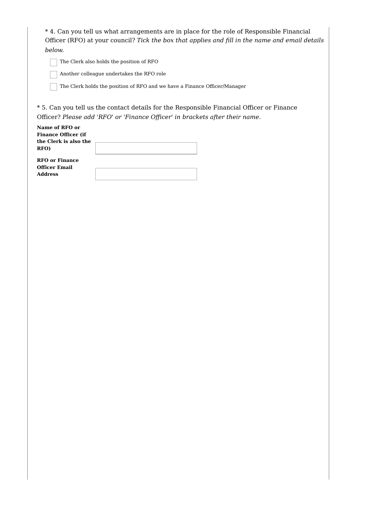\* 4. Can you tell us what arrangements are in place for the role of Responsible Financial Officer (RFO) at your council? *Tick the box that applies and fill in the name and email details below.*

The Clerk also holds the position of RFO

Another colleague undertakes the RFO role

The Clerk holds the position of RFO and we have a Finance Officer/Manager

\* 5. Can you tell us the contact details for the Responsible Financial Officer or Finance Officer? *Please add 'RFO' or 'Finance Officer' in brackets after their name.*

| Name of RFO or             |  |
|----------------------------|--|
| <b>Finance Officer (if</b> |  |
| the Clerk is also the      |  |
| RFO)                       |  |
| <b>RFO</b> or Finance      |  |
| <b>Officer Email</b>       |  |
| <b>Address</b>             |  |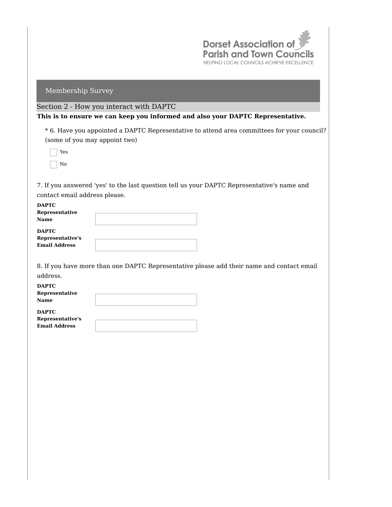

## Section 2 - How you interact with DAPTC

**This is to ensure we can keep you informed and also your DAPTC Representative.**

\* 6. Have you appointed a DAPTC Representative to attend area committees for your council? (some of you may appoint two)

Yes No

7. If you answered 'yes' to the last question tell us your DAPTC Representative's name and contact email address please.

| <b>DAPTC</b>         |  |
|----------------------|--|
| Representative       |  |
| <b>Name</b>          |  |
| <b>DAPTC</b>         |  |
| Representative's     |  |
| <b>Email Address</b> |  |
|                      |  |

8. If you have more than one DAPTC Representative please add their name and contact email address.

| <b>DAPTC</b>                 |  |
|------------------------------|--|
| Representative               |  |
| Name                         |  |
|                              |  |
| $\sim$ 200 $\sim$ 200 $\sim$ |  |

**DAPTC Representative's Email Address**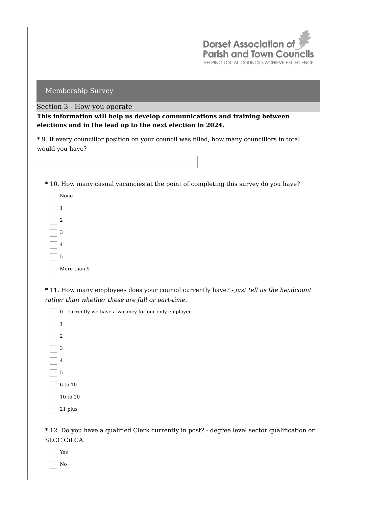

#### Section 3 - How you operate

**This information will help us develop communications and training between elections and in the lead up to the next election in 2024.**

\* 9. If every councillor position on your council was filled, how many councillors in total would you have?

### \* 10. How many casual vacancies at the point of completing this survey do you have?

| None        |
|-------------|
| 1           |
| 2           |
| 3           |
| 4           |
| 5           |
| More than 5 |

\* 11. How many employees does your council currently have? *- just tell us the headcount rather than whether these are full or part-time.*

0 - currently we have a vacancy for our only employee 1 2 3 4 5 6 to 10 10 to 20 21 plus

\* 12. Do you have a qualified Clerk currently in post? - degree level sector qualification or SLCC CiLCA.

Yes No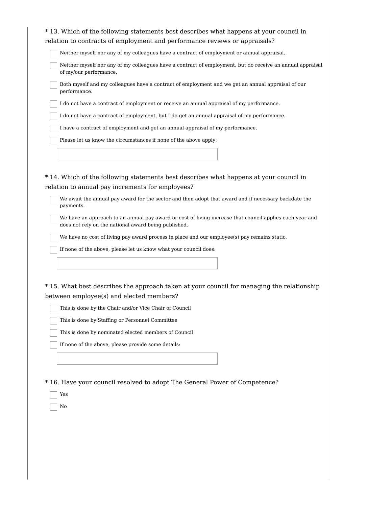| *13. Which of the following statements best describes what happens at your council in                                                                            |
|------------------------------------------------------------------------------------------------------------------------------------------------------------------|
| relation to contracts of employment and performance reviews or appraisals?                                                                                       |
| Neither myself nor any of my colleagues have a contract of employment or annual appraisal.                                                                       |
| Neither myself nor any of my colleagues have a contract of employment, but do receive an annual appraisal<br>of my/our performance.                              |
| Both myself and my colleagues have a contract of employment and we get an annual appraisal of our<br>performance.                                                |
| I do not have a contract of employment or receive an annual appraisal of my performance.                                                                         |
| I do not have a contract of employment, but I do get an annual appraisal of my performance.                                                                      |
| I have a contract of employment and get an annual appraisal of my performance.                                                                                   |
| Please let us know the circumstances if none of the above apply:                                                                                                 |
|                                                                                                                                                                  |
|                                                                                                                                                                  |
| *14. Which of the following statements best describes what happens at your council in                                                                            |
| relation to annual pay increments for employees?                                                                                                                 |
| We await the annual pay award for the sector and then adopt that award and if necessary backdate the<br>payments.                                                |
| We have an approach to an annual pay award or cost of living increase that council applies each year and<br>does not rely on the national award being published. |
| We have no cost of living pay award process in place and our employee(s) pay remains static.                                                                     |
| If none of the above, please let us know what your council does:                                                                                                 |
|                                                                                                                                                                  |
|                                                                                                                                                                  |
| *15. What best describes the approach taken at your council for managing the relationship                                                                        |
| between employee(s) and elected members?                                                                                                                         |
| This is done by the Chair and/or Vice Chair of Council                                                                                                           |
| This is done by Staffing or Personnel Committee                                                                                                                  |
| This is done by nominated elected members of Council                                                                                                             |
| If none of the above, please provide some details:                                                                                                               |
|                                                                                                                                                                  |
|                                                                                                                                                                  |
| * 16. Have your council resolved to adopt The General Power of Competence?                                                                                       |
| Yes                                                                                                                                                              |
| No                                                                                                                                                               |
|                                                                                                                                                                  |
|                                                                                                                                                                  |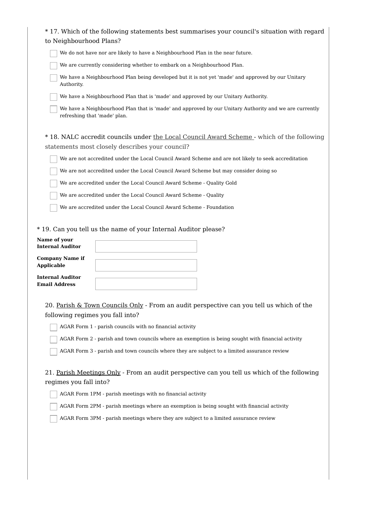| to Neighbourhood Plans?                                                                                                                                                       | *17. Which of the following statements best summarises your council's situation with regard                                                                                                                                                                                                                                                     |
|-------------------------------------------------------------------------------------------------------------------------------------------------------------------------------|-------------------------------------------------------------------------------------------------------------------------------------------------------------------------------------------------------------------------------------------------------------------------------------------------------------------------------------------------|
|                                                                                                                                                                               | We do not have nor are likely to have a Neighbourhood Plan in the near future.                                                                                                                                                                                                                                                                  |
|                                                                                                                                                                               | We are currently considering whether to embark on a Neighbourhood Plan.                                                                                                                                                                                                                                                                         |
| Authority.                                                                                                                                                                    | We have a Neighbourhood Plan being developed but it is not yet 'made' and approved by our Unitary                                                                                                                                                                                                                                               |
|                                                                                                                                                                               | We have a Neighbourhood Plan that is 'made' and approved by our Unitary Authority.                                                                                                                                                                                                                                                              |
| refreshing that 'made' plan.                                                                                                                                                  | We have a Neighbourhood Plan that is 'made' and approved by our Unitary Authority and we are currently                                                                                                                                                                                                                                          |
|                                                                                                                                                                               | * 18. NALC accredit councils under the Local Council Award Scheme - which of the following                                                                                                                                                                                                                                                      |
|                                                                                                                                                                               | statements most closely describes your council?                                                                                                                                                                                                                                                                                                 |
|                                                                                                                                                                               | We are not accredited under the Local Council Award Scheme and are not likely to seek accreditation                                                                                                                                                                                                                                             |
|                                                                                                                                                                               | We are not accredited under the Local Council Award Scheme but may consider doing so                                                                                                                                                                                                                                                            |
|                                                                                                                                                                               | We are accredited under the Local Council Award Scheme - Quality Gold                                                                                                                                                                                                                                                                           |
|                                                                                                                                                                               | We are accredited under the Local Council Award Scheme - Quality                                                                                                                                                                                                                                                                                |
|                                                                                                                                                                               | We are accredited under the Local Council Award Scheme - Foundation                                                                                                                                                                                                                                                                             |
| Name of your<br><b>Internal Auditor</b><br><b>Company Name if</b><br><b>Applicable</b><br><b>Internal Auditor</b><br><b>Email Address</b><br>following regimes you fall into? | * 19. Can you tell us the name of your Internal Auditor please?<br>20. Parish & Town Councils Only - From an audit perspective can you tell us which of the                                                                                                                                                                                     |
|                                                                                                                                                                               | AGAR Form 1 - parish councils with no financial activity                                                                                                                                                                                                                                                                                        |
|                                                                                                                                                                               | AGAR Form 2 - parish and town councils where an exemption is being sought with financial activity                                                                                                                                                                                                                                               |
|                                                                                                                                                                               | AGAR Form 3 - parish and town councils where they are subject to a limited assurance review                                                                                                                                                                                                                                                     |
| regimes you fall into?                                                                                                                                                        | 21. Parish Meetings Only - From an audit perspective can you tell us which of the following<br>AGAR Form 1PM - parish meetings with no financial activity<br>AGAR Form 2PM - parish meetings where an exemption is being sought with financial activity<br>AGAR Form 3PM - parish meetings where they are subject to a limited assurance review |
|                                                                                                                                                                               |                                                                                                                                                                                                                                                                                                                                                 |